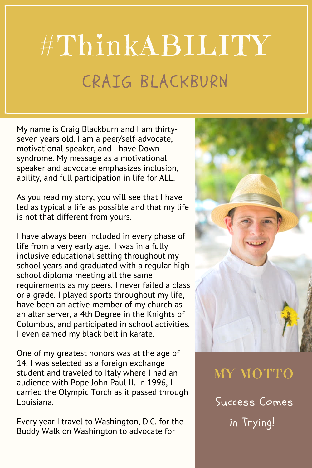## #ThinkABILITY CRAIG BLACKBURN

My name is Craig Blackburn and I am thirtyseven years old. I am a peer/self-advocate, motivational speaker, and I have Down syndrome. My message as a motivational speaker and advocate emphasizes inclusion, ability, and full participation in life for ALL.

As you read my story, you will see that I have led as typical a life as possible and that my life is not that different from yours.

I have always been included in every phase of life from a very early age. I was in a fully inclusive educational setting throughout my school years and graduated with a regular high school diploma meeting all the same requirements as my peers. I never failed a class or a grade. I played sports throughout my life, have been an active member of my church as an altar server, a 4th Degree in the Knights of Columbus, and participated in school activities. I even earned my black belt in karate.

One of my greatest honors was at the age of 14. I was selected as a foreign exchange student and traveled to Italy where I had an audience with Pope John Paul II. In 1996, I carried the Olympic Torch as it passed through Louisiana.

Every year I travel to Washington, D.C. for the Buddy Walk on Washington to advocate for



## MY MOTTO

Success Comes in Trying!